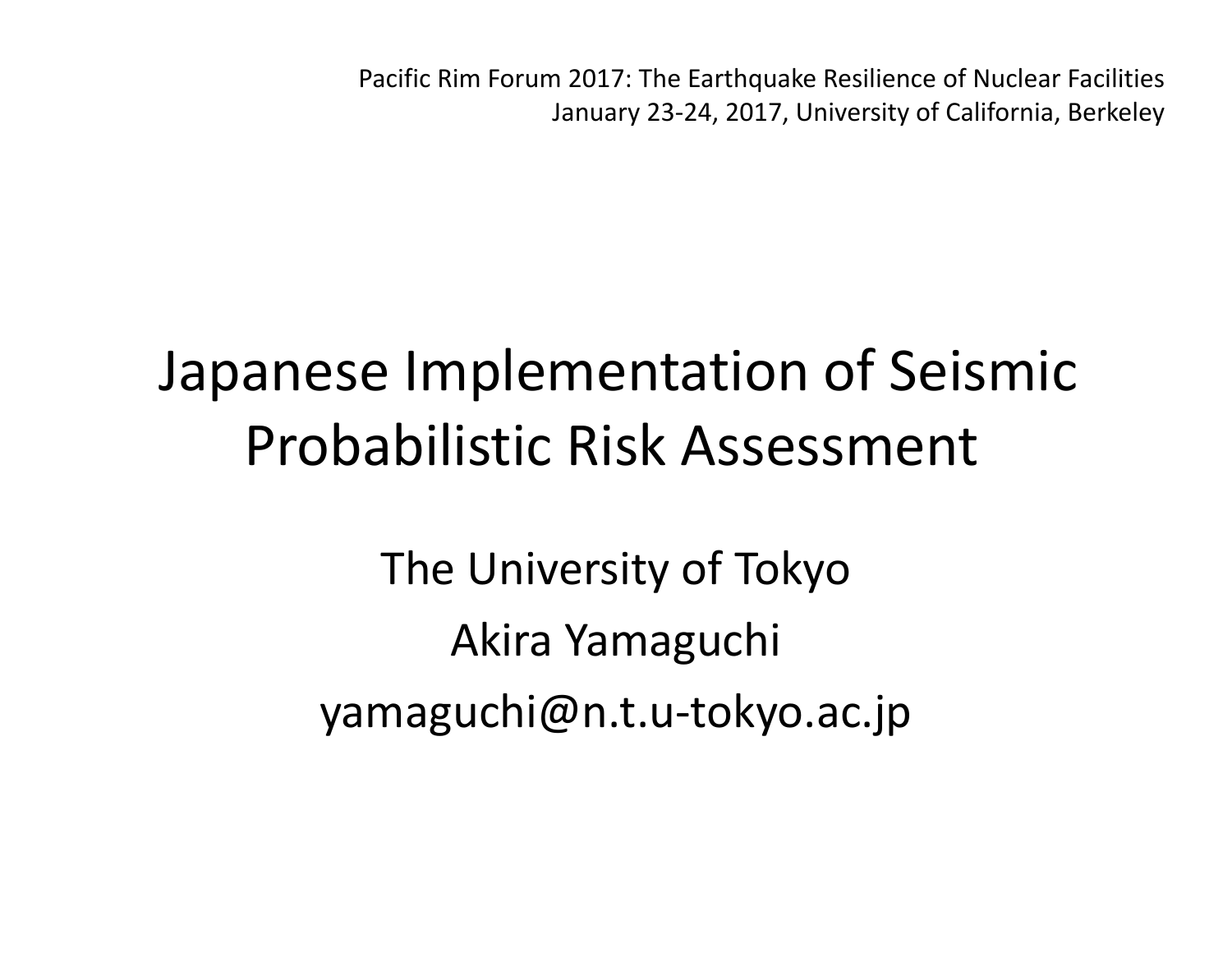Pacific Rim Forum 2017: The Earthquake Resilience of Nuclear Facilities January 23‐24, 2017, University of California, Berkeley

## Japanese Implementation of Seismic Probabilistic Risk Assessment

The University of Tokyo Akira Yamaguchi yamaguchi@n.t.u‐tokyo.ac.jp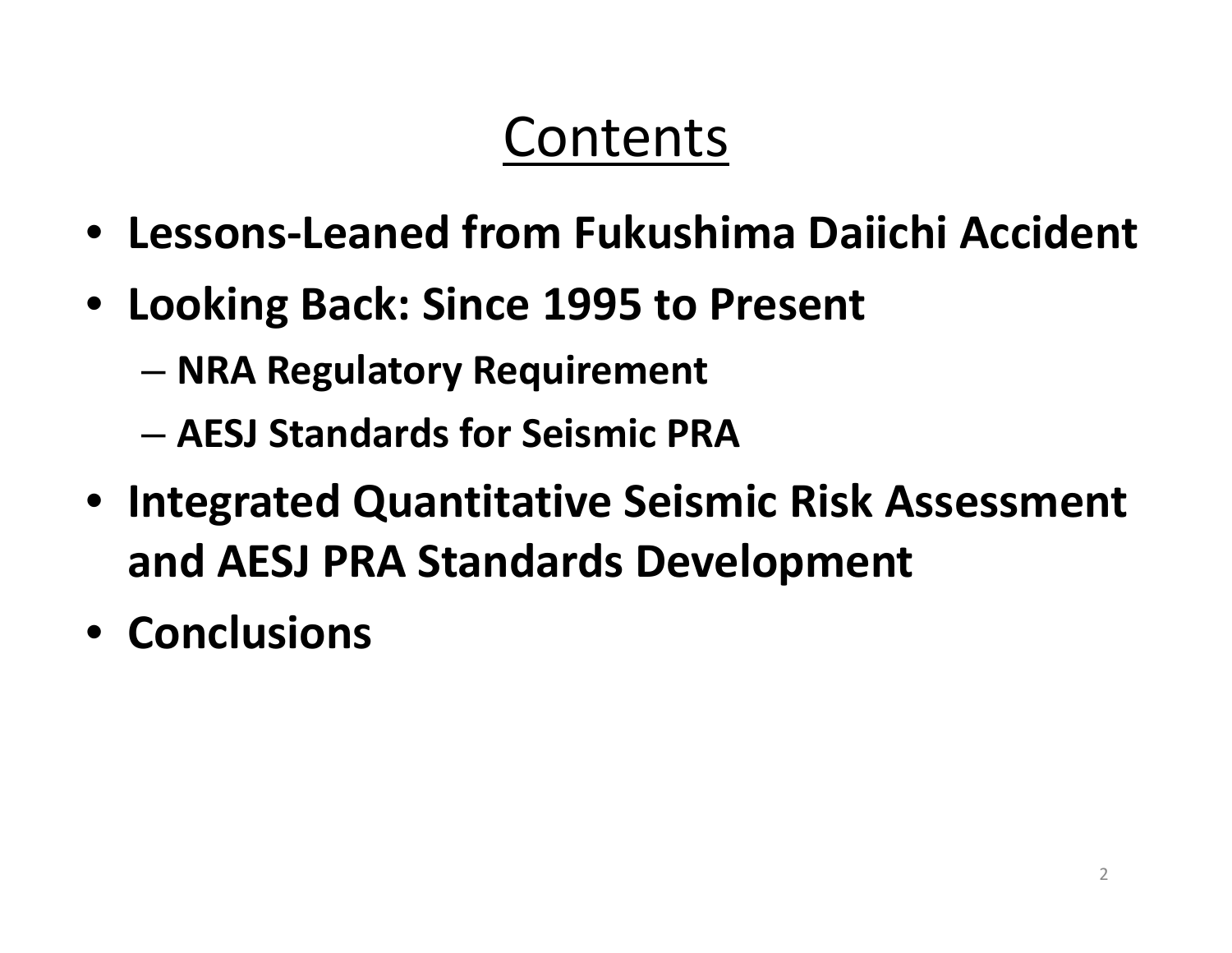#### Contents

- **Lessons‐Leaned from Fukushima Daiichi Accident**
- **Looking Back: Since 1995 to Present**
	- **NRA Regulatory Requirement**
	- **AESJ Standards for Seismic PRA**
- **Integrated Quantitative Seismic Risk Assessment and AESJ PRA Standards Development**
- **Conclusions**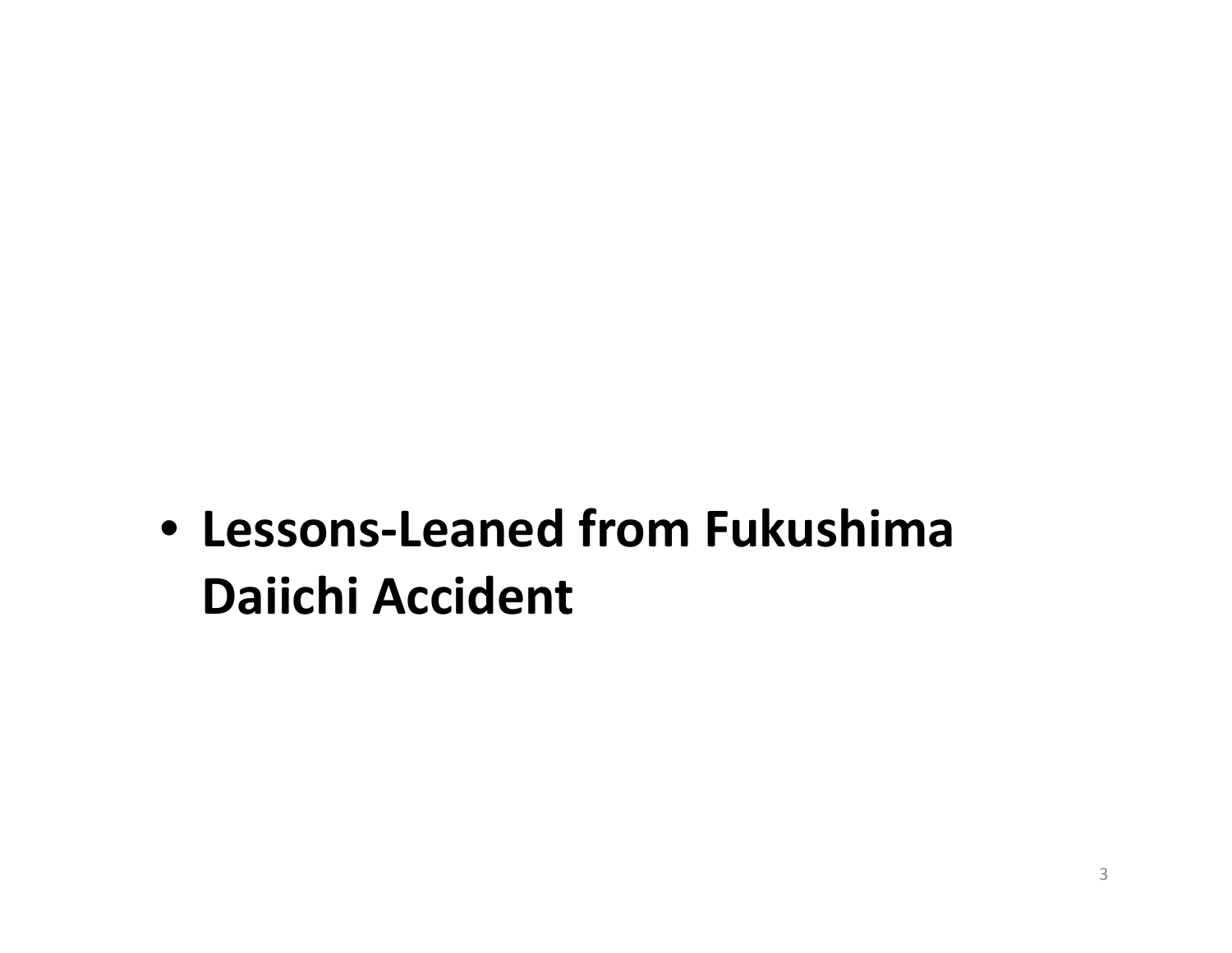• **Lessons‐Leaned from Fukushima Daiichi Accident**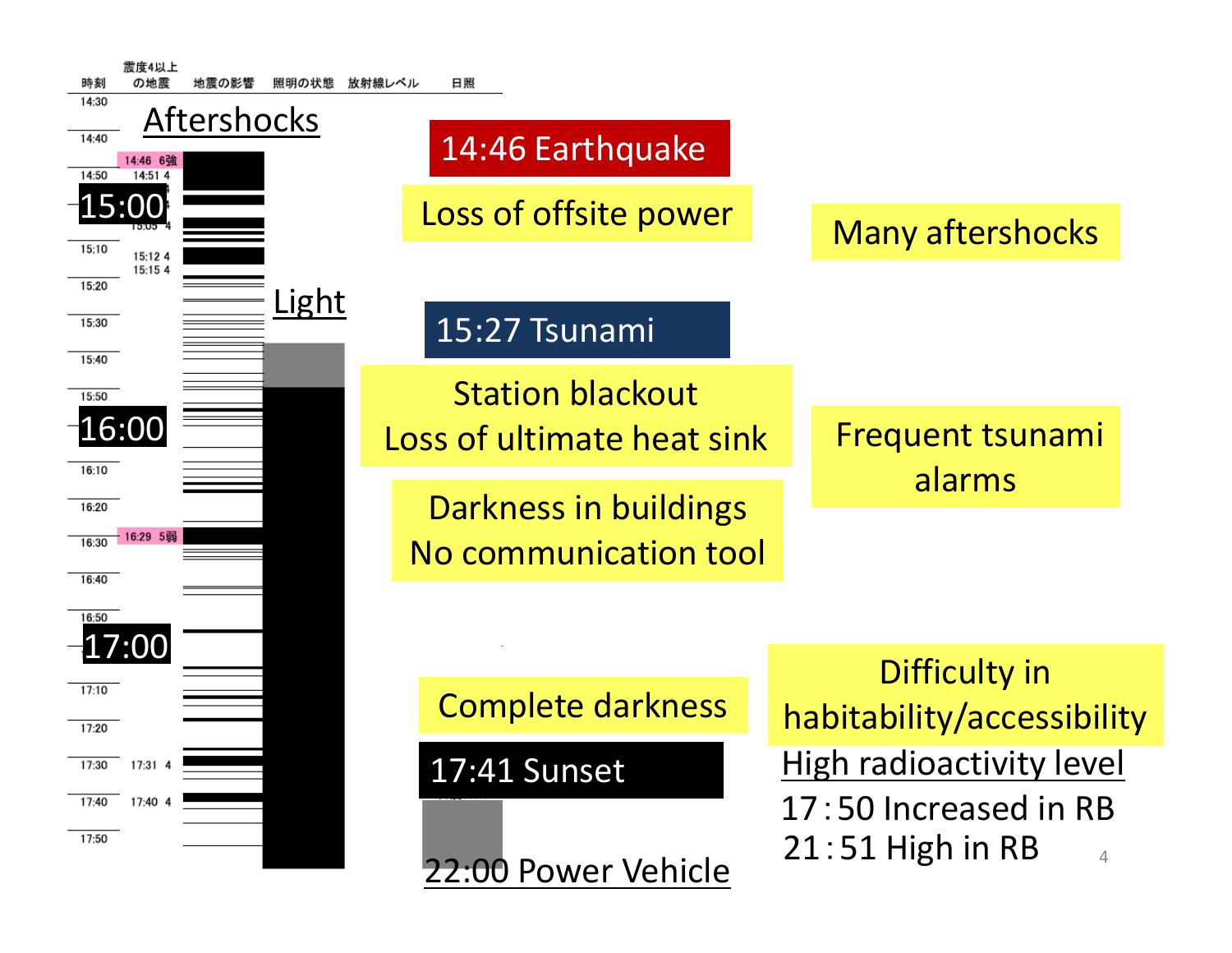| 震度4以上<br>照明の状態<br>時刻                                                 | 日照<br>放射線レベル                                   |                                                               |
|----------------------------------------------------------------------|------------------------------------------------|---------------------------------------------------------------|
| 14:30<br><b>Aftershocks</b><br>14:40<br>14:46 6強<br>14:50<br>14:51 4 | 14:46 Earthquake                               |                                                               |
| 15:00                                                                | Loss of offsite power                          | <b>Many aftershocks</b>                                       |
| 15:10<br>15:12 4<br>15:15 4<br>15:20                                 |                                                |                                                               |
| Light<br>15:30<br>15:40                                              | 15:27 Tsunami                                  |                                                               |
| 15:50                                                                | <b>Station blackout</b>                        |                                                               |
| 16:00<br>16:10                                                       | Loss of ultimate heat sink                     | <b>Frequent tsunami</b>                                       |
| 16:20<br>16:29 5弱<br>16:30                                           | Darkness in buildings<br>No communication tool | alarms                                                        |
| 16:40<br>16:50                                                       |                                                |                                                               |
| .7:00                                                                |                                                |                                                               |
| 17:10                                                                | <b>Complete darkness</b>                       | Difficulty in<br>habitability/accessibility                   |
| 17:20                                                                |                                                |                                                               |
| 17:30<br>17:31 4                                                     | 17:41 Sunset                                   | <b>High radioactivity level</b>                               |
| 17:40 4<br>17:40<br>17:50                                            | 22:00 Power Vehicle                            | 17:50 Increased in RB<br>$21:51$ High in RB<br>$\overline{4}$ |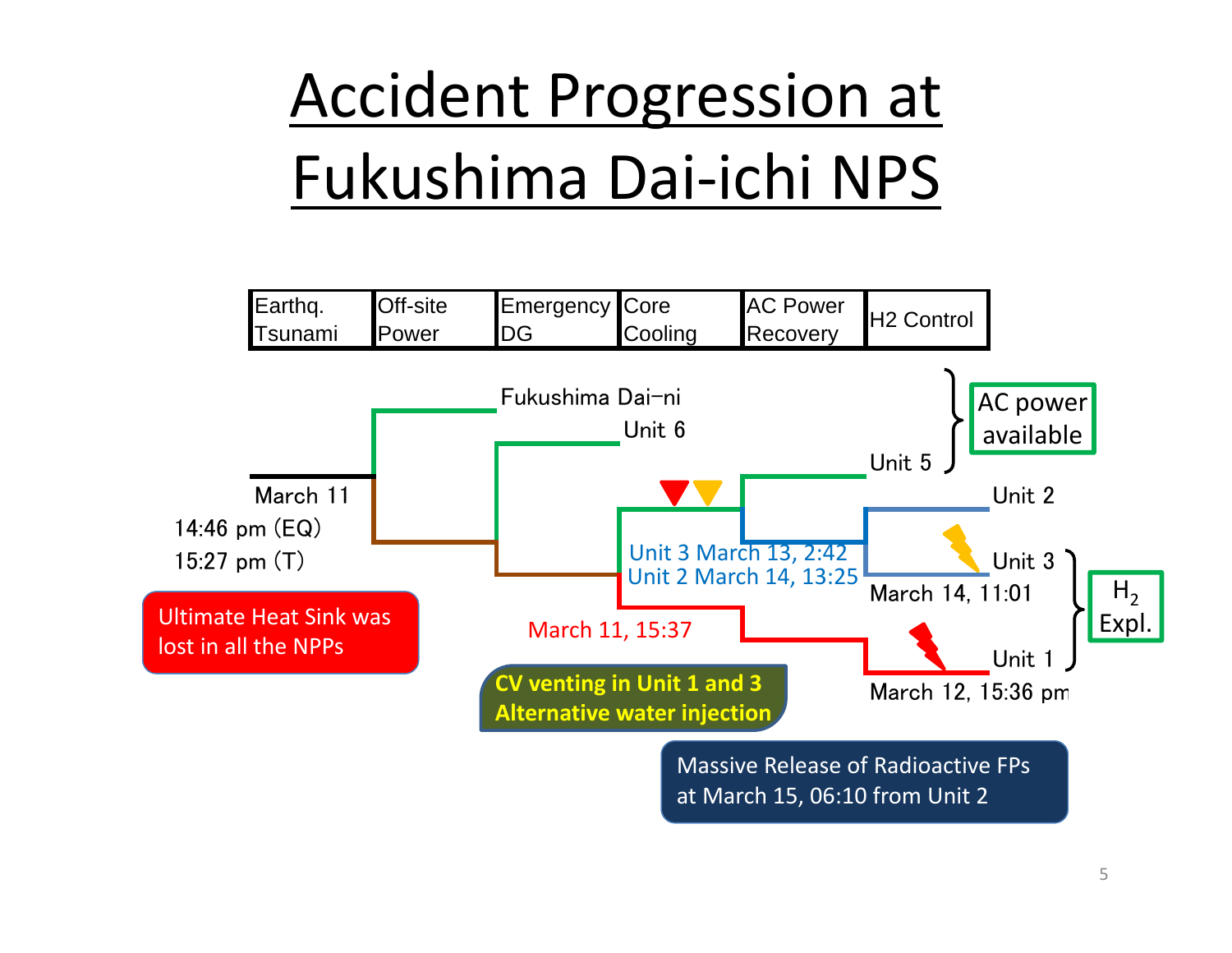# Accident Progression at Fukushima Dai‐ichi NPS

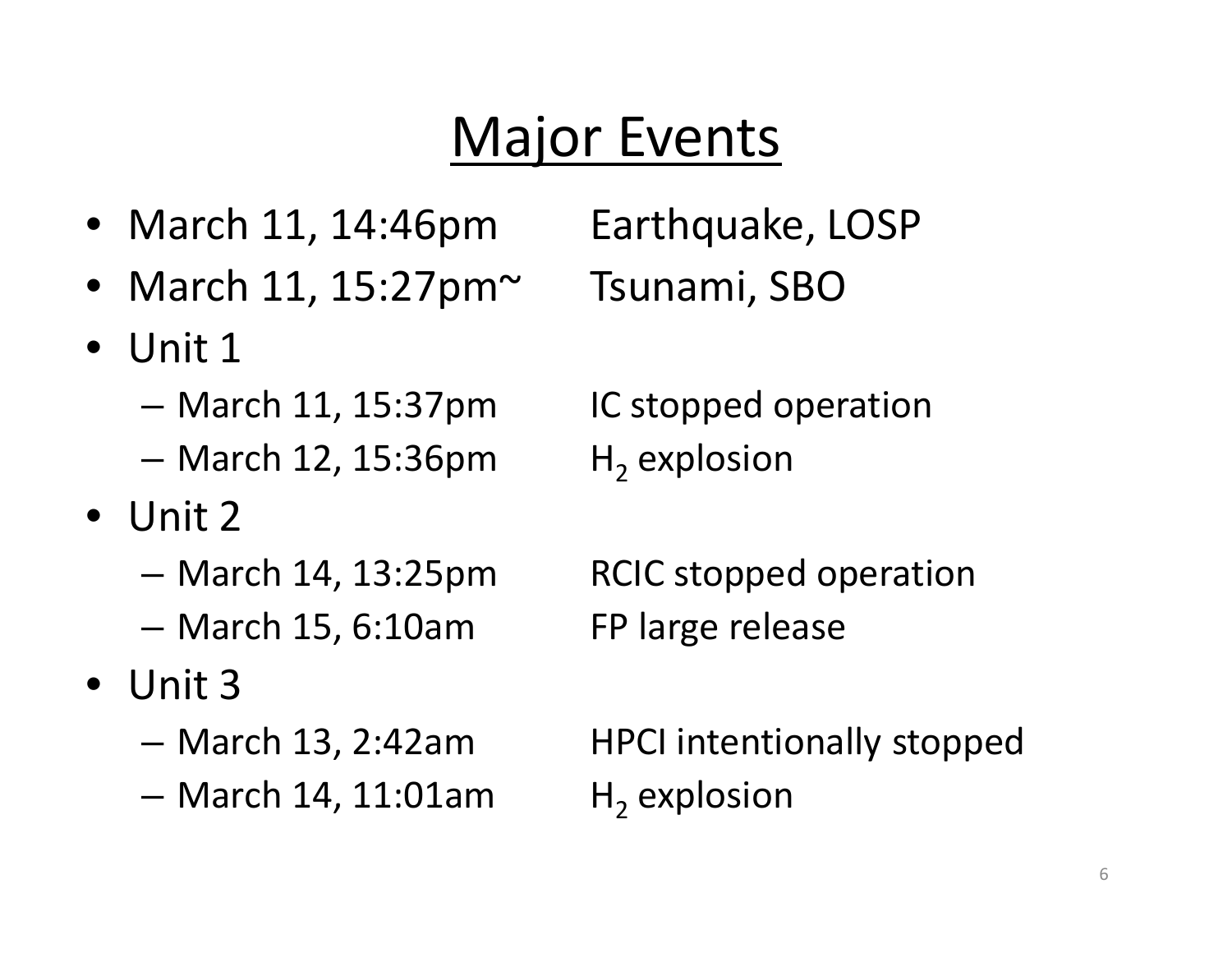## Major Events

- March
- March 11, 15:27pm~ Tsunami, SBO
- Unit 1
	- –March 11, 15:37pm IC stopped operation
	- –— March 12, 15:36pm H<sub>2</sub>
- Unit 2
	- March 14, 13:25pm
	- –March 15, 6:10am FP large release
- Unit 3
	- March 13, 2:42am
	- –— March 14, 11:01am H<sub>2</sub>

Earthquake, LOSP

 $H_2$  explosion

RCIC stopped operation

HPCI intentionally stopped  $H_2$  explosion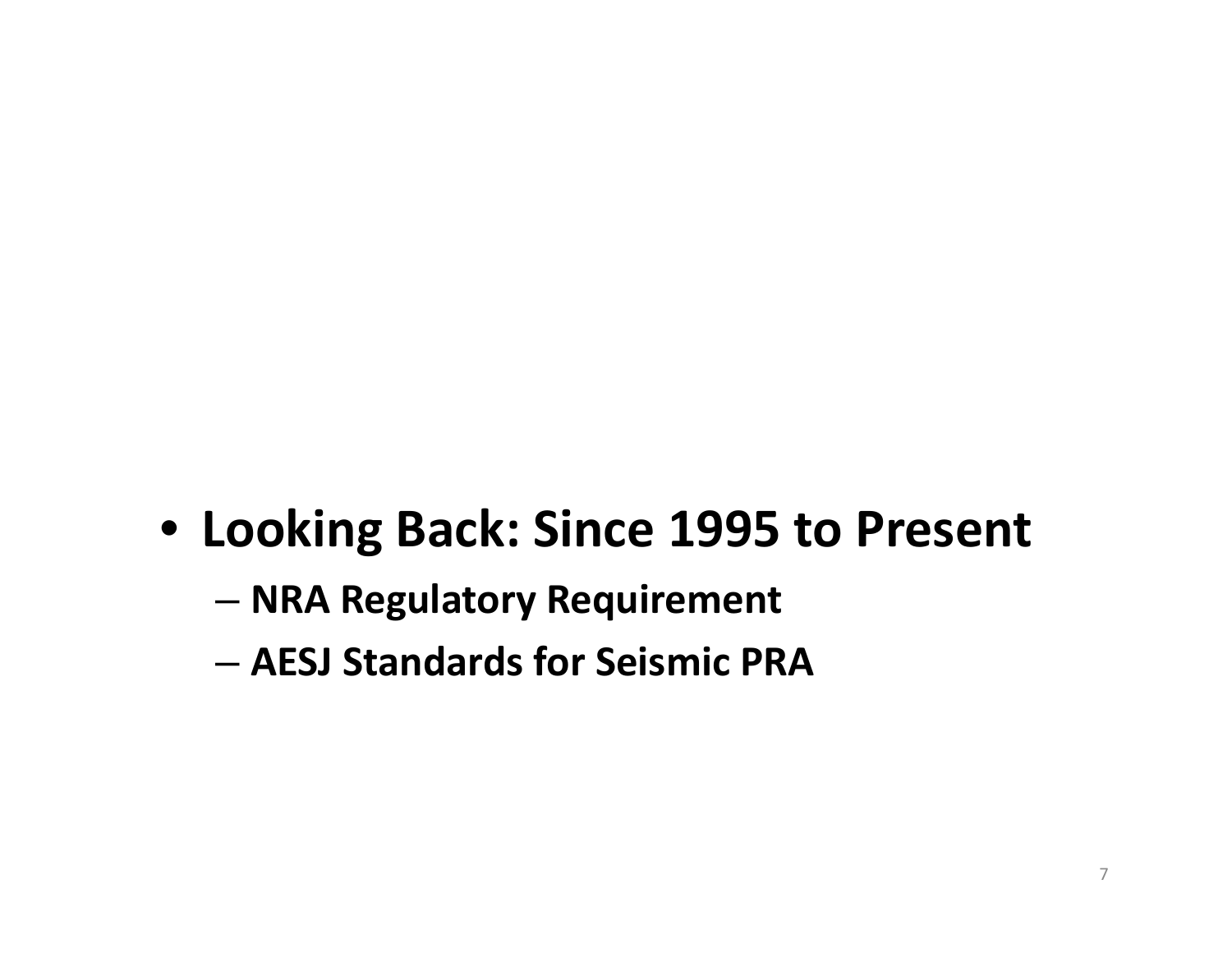#### • **Looking Back: Since 1995 to Present**

- **NRA Regulatory Requirement**
- **AESJ Standards for Seismic PRA**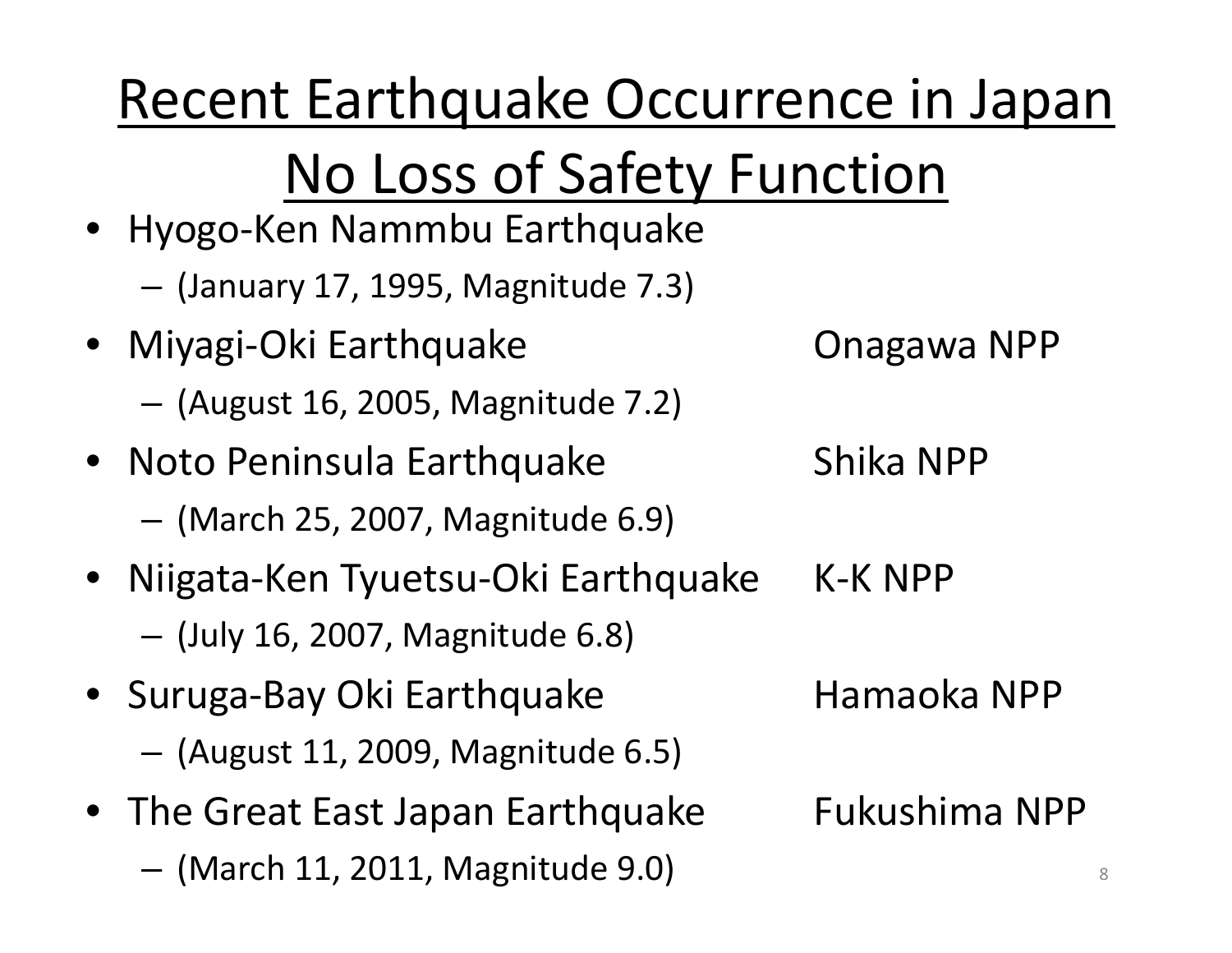Recent Earthquake Occurrence in Japan No Loss of Safety Function • Hyogo‐Ken Nammbu Earthquake – (January 17, 1995, Magnitude 7.3) • Miyagi-Oki Earthquake Onagawa NPP (August 16, 2005, Magnitude 7.2) • Noto Peninsula Earthquake Shika NPP (March 25, 2007, Magnitude 6.9) • Niigata-Ken Tyuetsu-Oki Earthquake K-K NPP (July 16, 2007, Magnitude 6.8) • Suruga-Bay Oki Earthquake hamaoka NPP (August 11, 2009, Magnitude 6.5) • The Great East Japan Earthquake Fukushima NPP – $-$  (March 11, 2011, Magnitude 9.0)  $\overline{\phantom{a}}$  8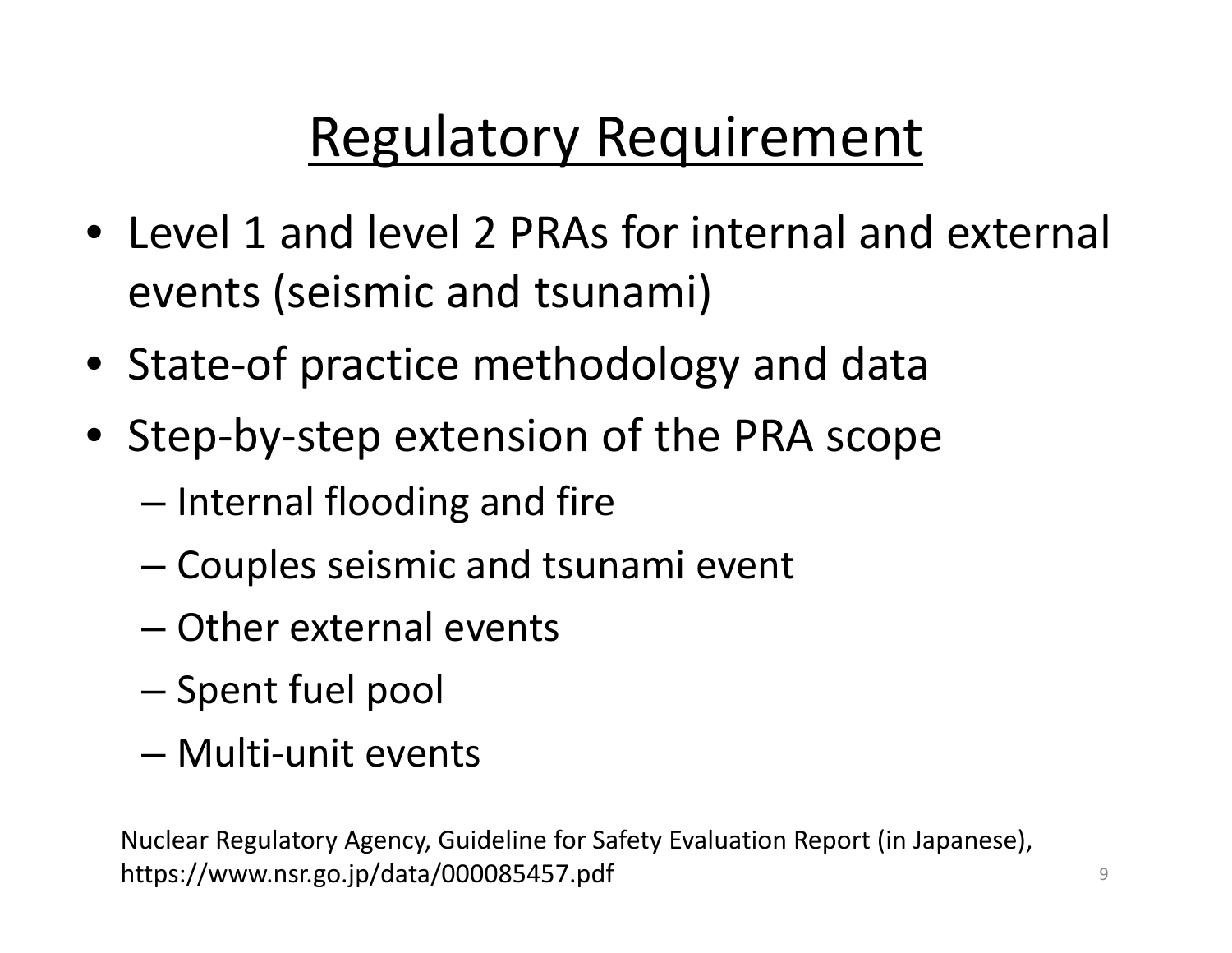### Regulatory Requirement

- Level 1 and level 2 PRAs for internal and external events (seismic and tsunami)
- State‐of practice methodology and data
- Step‐by‐step extension of the PRA scope
	- – $-$  Internal flooding and fire
	- –Couples seismic and tsunami event
	- Other external events
	- $-$  Spent fuel pool
	- Multi‐unit events

Nuclear Regulatory Agency, Guideline for Safety Evaluation Report (in Japanese), https://www.nsr.go.jp/data/000085457.pdf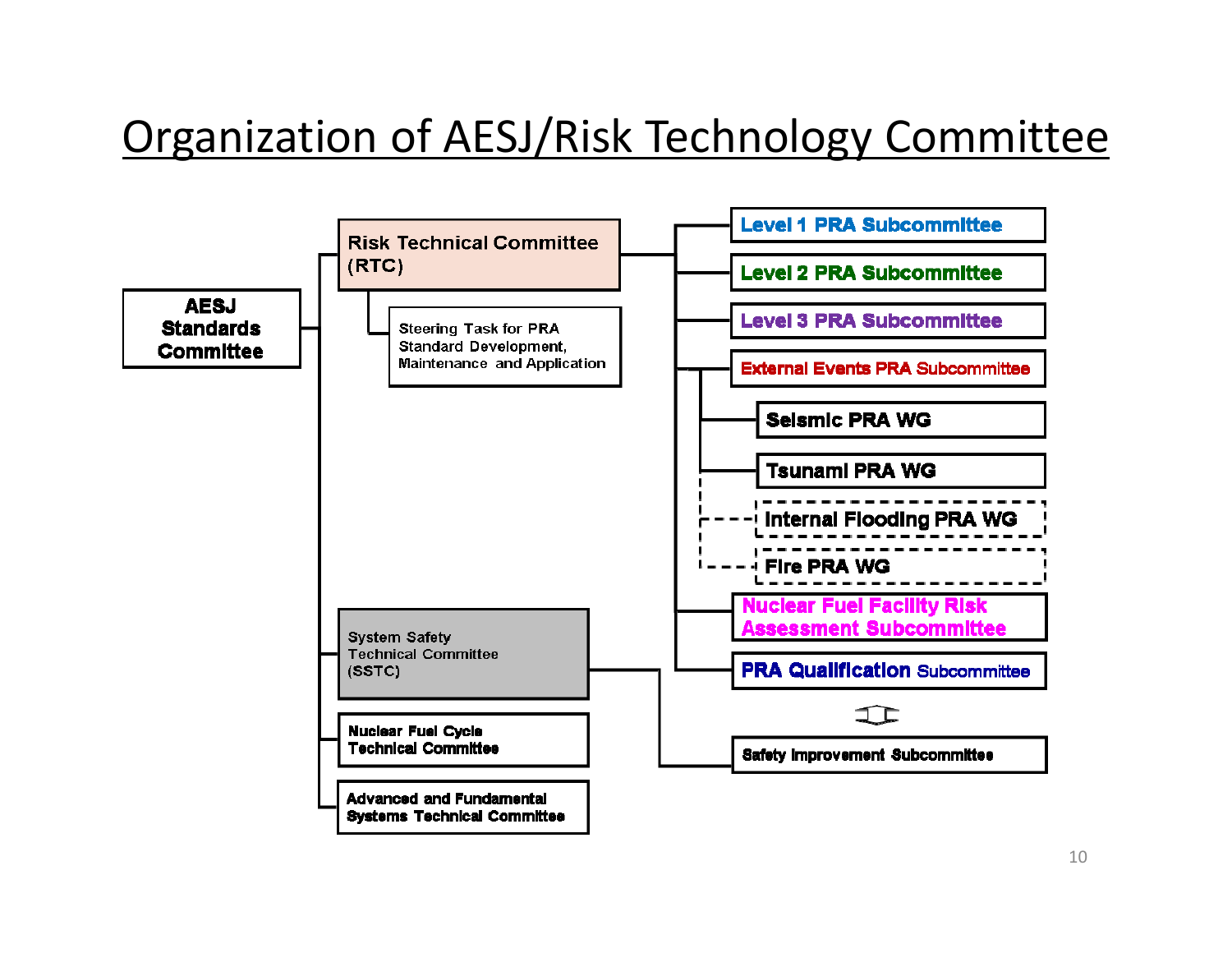#### Organization of AESJ/Risk Technology Committee

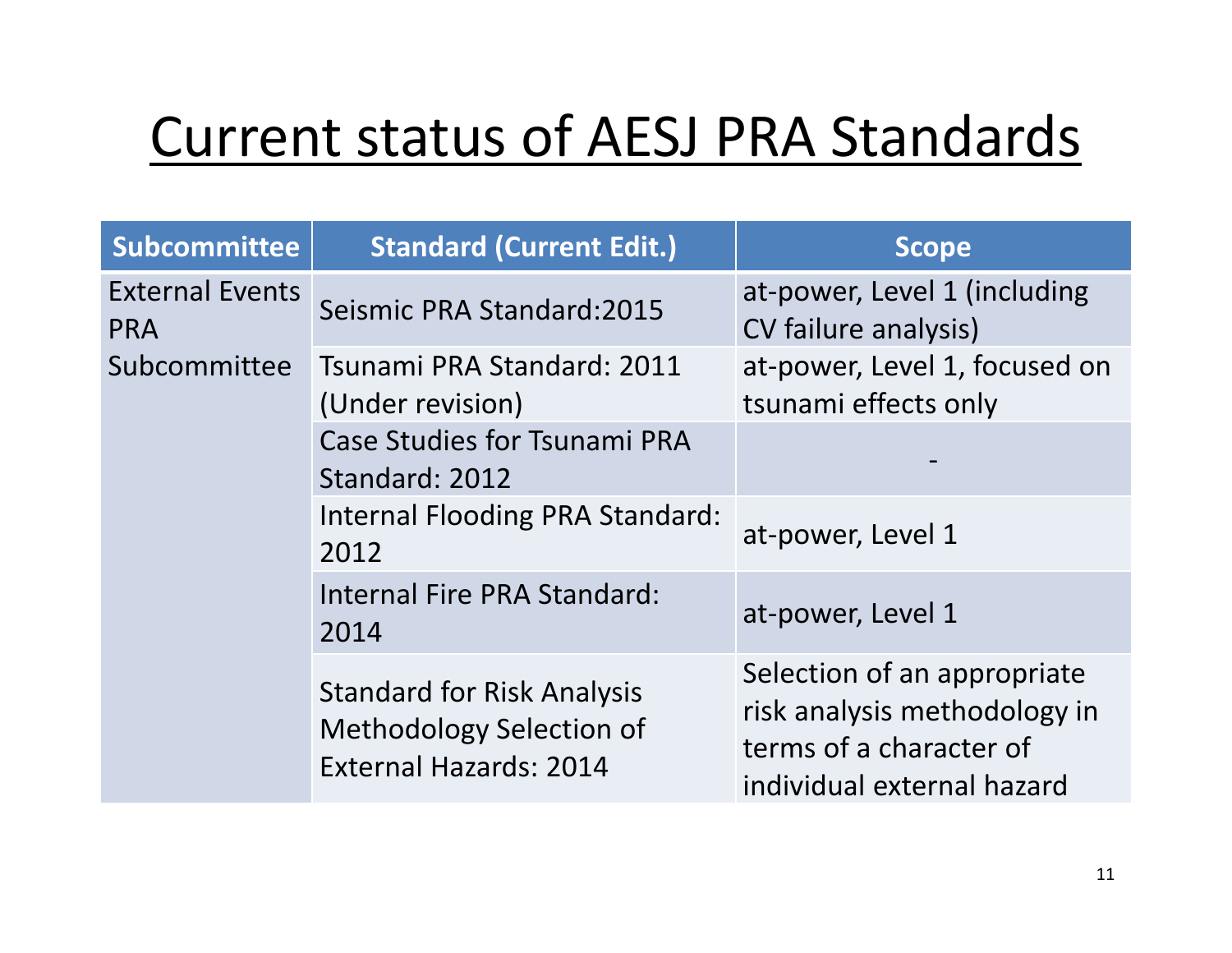#### Current status of AESJ PRA Standards

| <b>Subcommittee</b>                  | <b>Standard (Current Edit.)</b>                                                                | <b>Scope</b>                                                                                                         |
|--------------------------------------|------------------------------------------------------------------------------------------------|----------------------------------------------------------------------------------------------------------------------|
| <b>External Events</b><br><b>PRA</b> | Seismic PRA Standard: 2015                                                                     | at-power, Level 1 (including<br>CV failure analysis)                                                                 |
| Subcommittee                         | Tsunami PRA Standard: 2011<br>(Under revision)                                                 | at-power, Level 1, focused on<br>tsunami effects only                                                                |
|                                      | <b>Case Studies for Tsunami PRA</b><br>Standard: 2012                                          |                                                                                                                      |
|                                      | <b>Internal Flooding PRA Standard:</b><br>2012                                                 | at-power, Level 1                                                                                                    |
|                                      | Internal Fire PRA Standard:<br>2014                                                            | at-power, Level 1                                                                                                    |
|                                      | <b>Standard for Risk Analysis</b><br>Methodology Selection of<br><b>External Hazards: 2014</b> | Selection of an appropriate<br>risk analysis methodology in<br>terms of a character of<br>individual external hazard |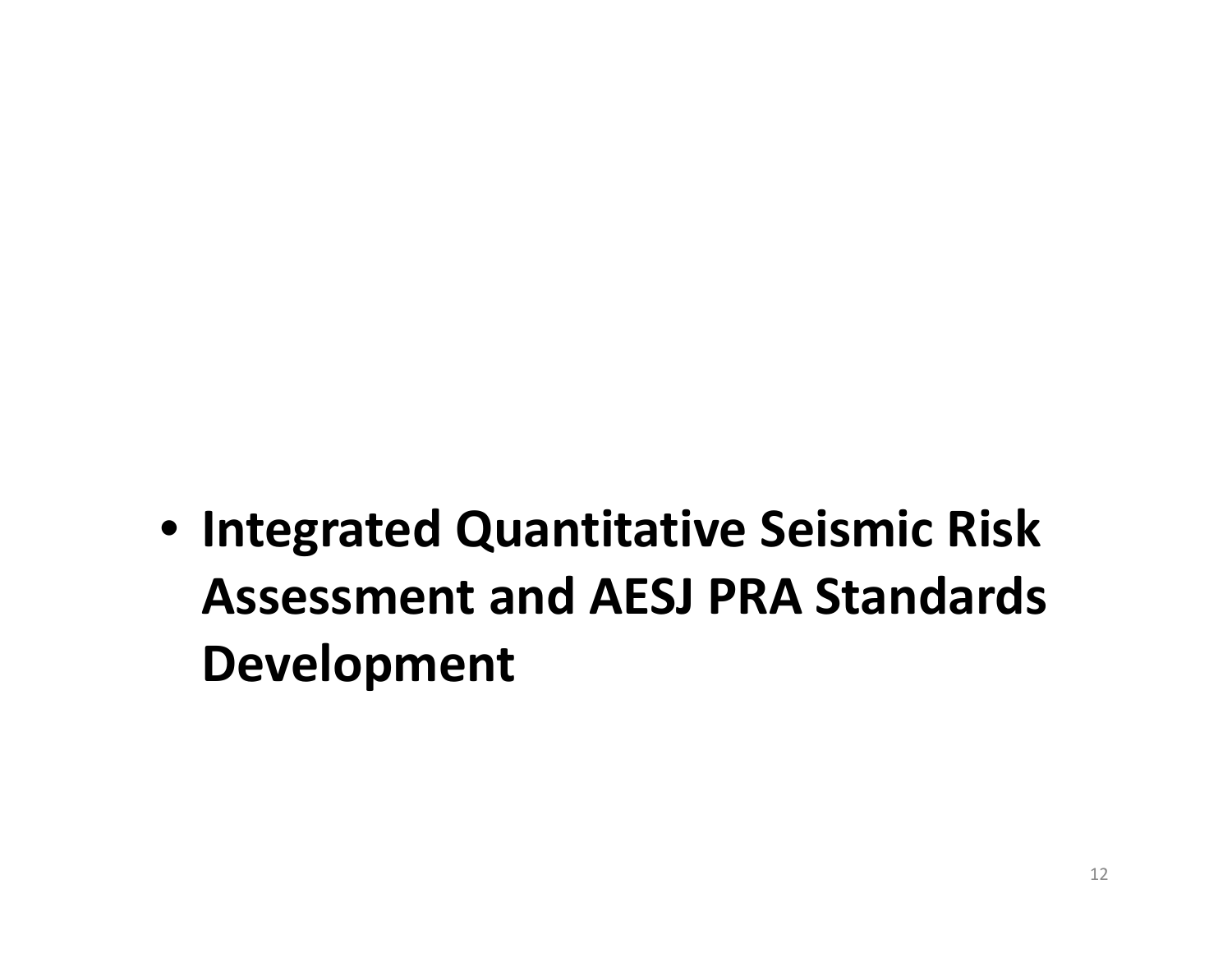• **Integrated Quantitative Seismic Risk Assessment and AESJ PRA Standards Development**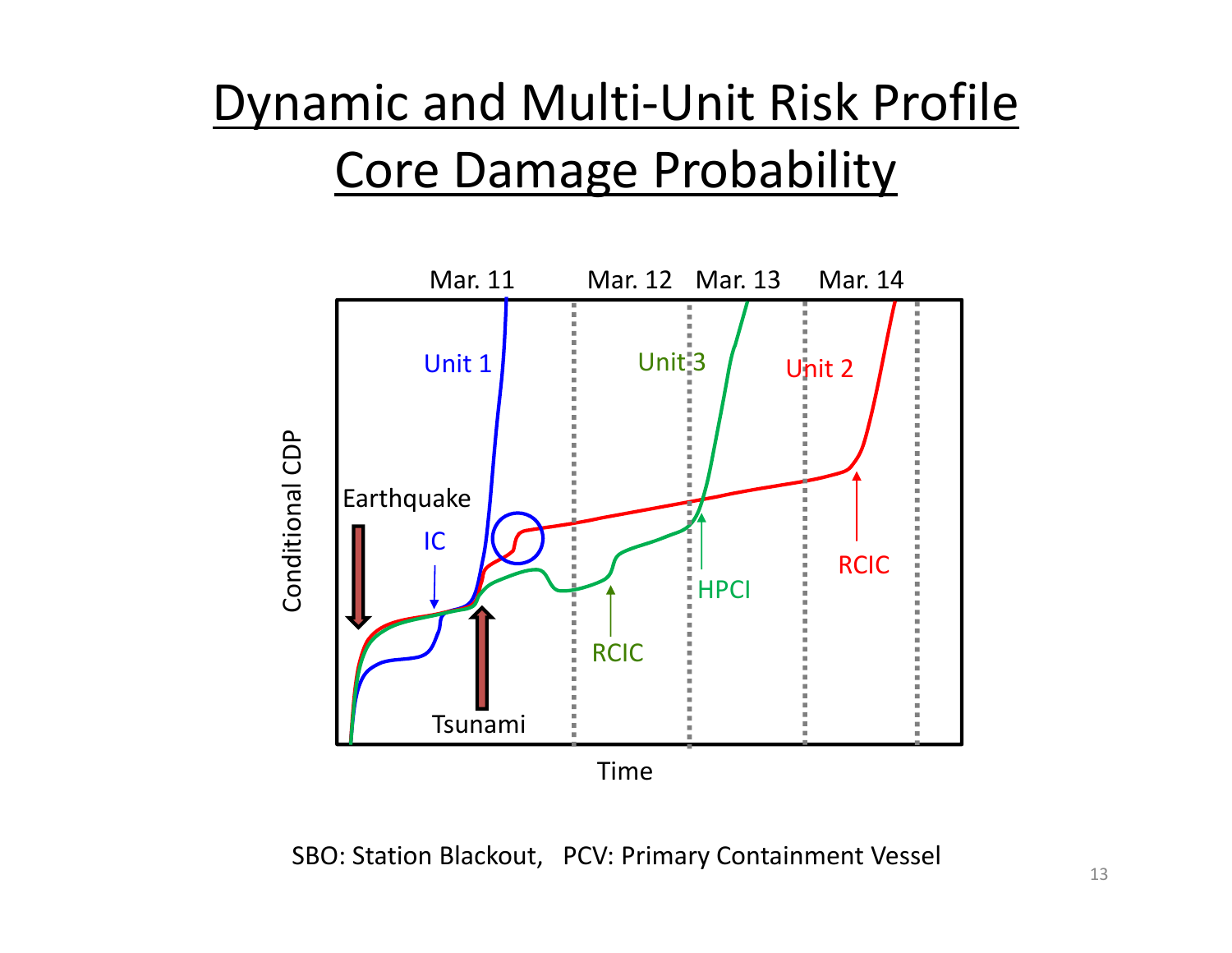#### Dynamic and Multi‐Unit Risk Profile Core Damage Probability



SBO: Station Blackout, PCV: Primary Containment Vessel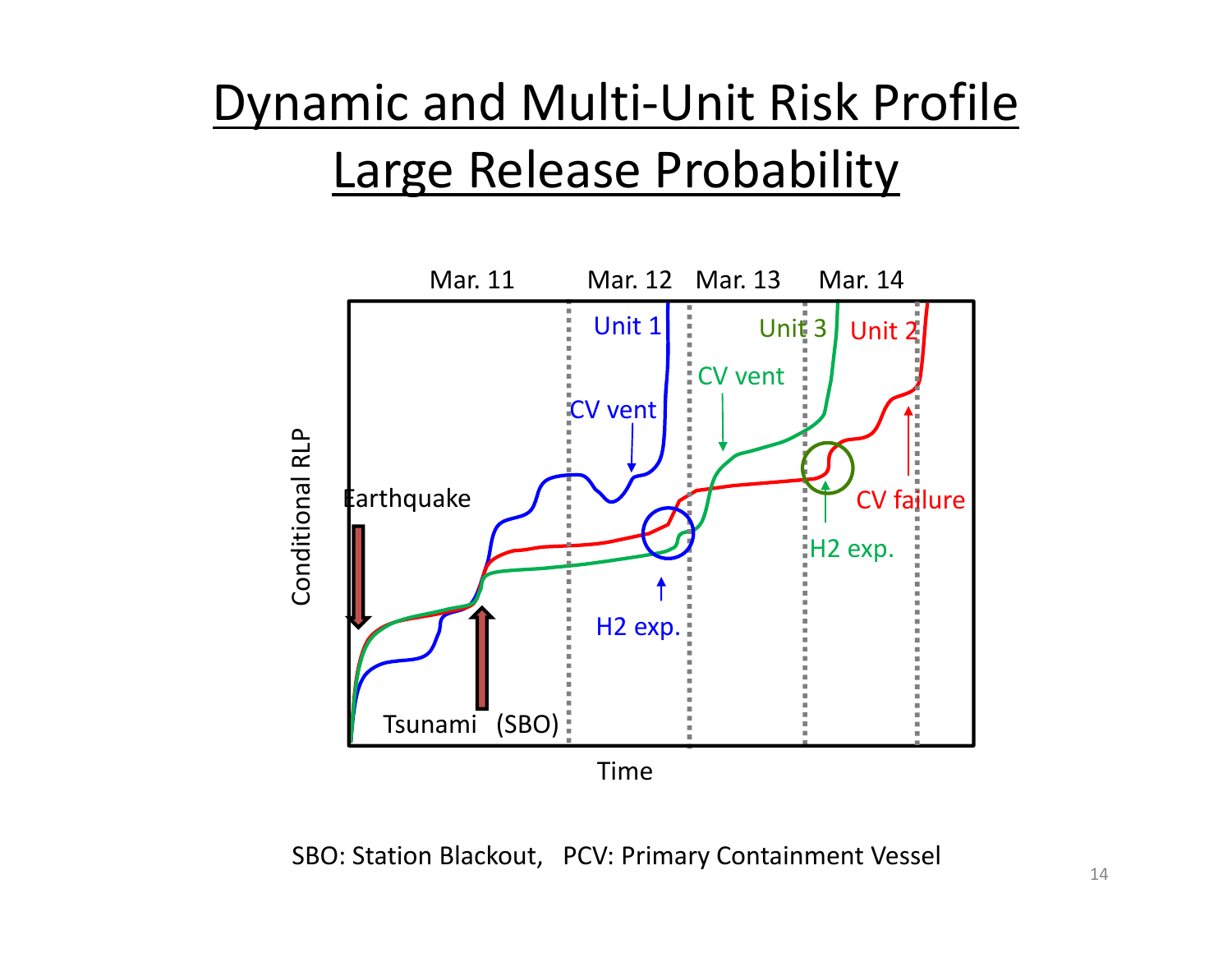#### Dynamic and Multi‐Unit Risk Profile Large Release Probability



SBO: Station Blackout, PCV: Primary Containment Vessel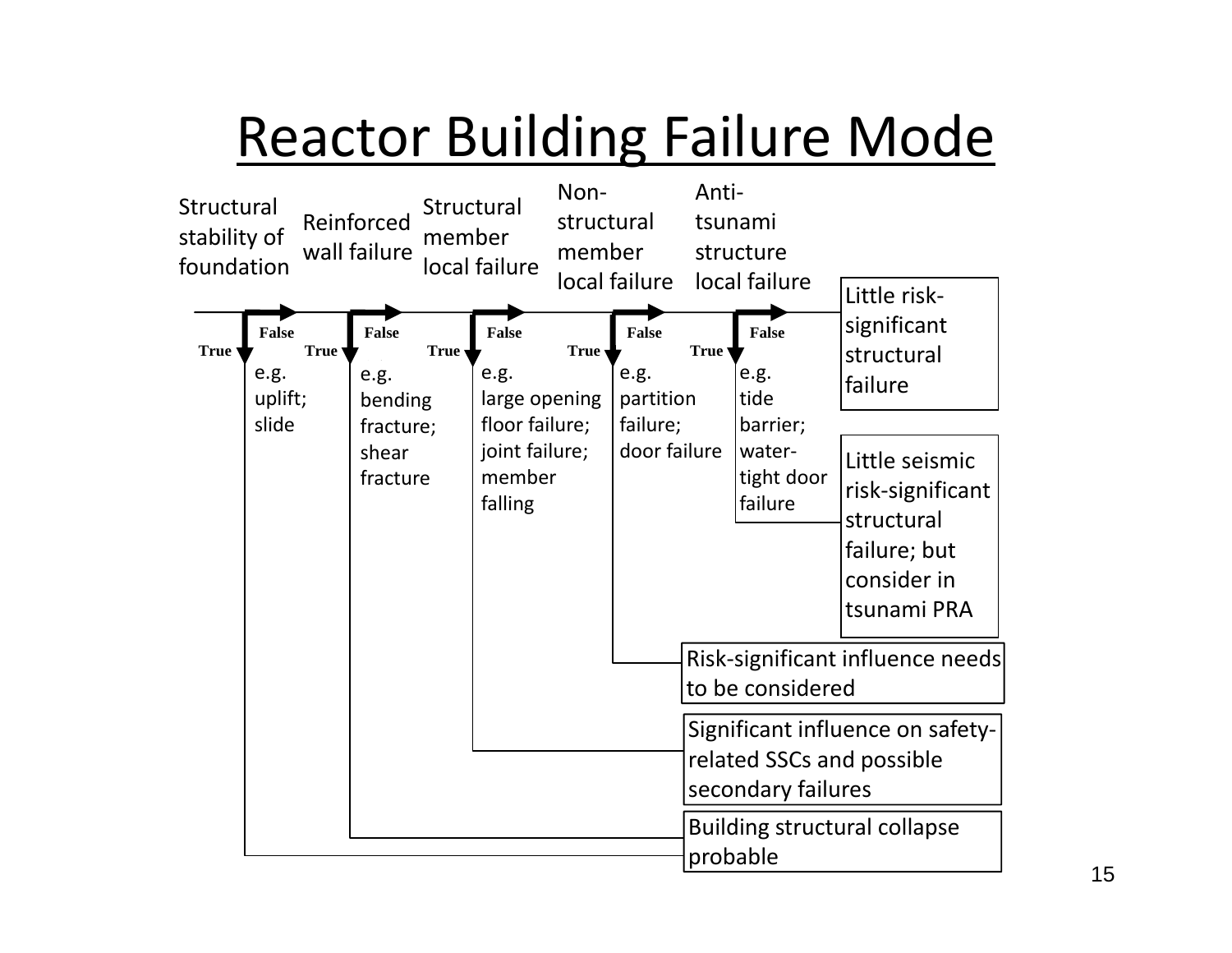## Reactor Building Failure Mode

![](_page_14_Figure_1.jpeg)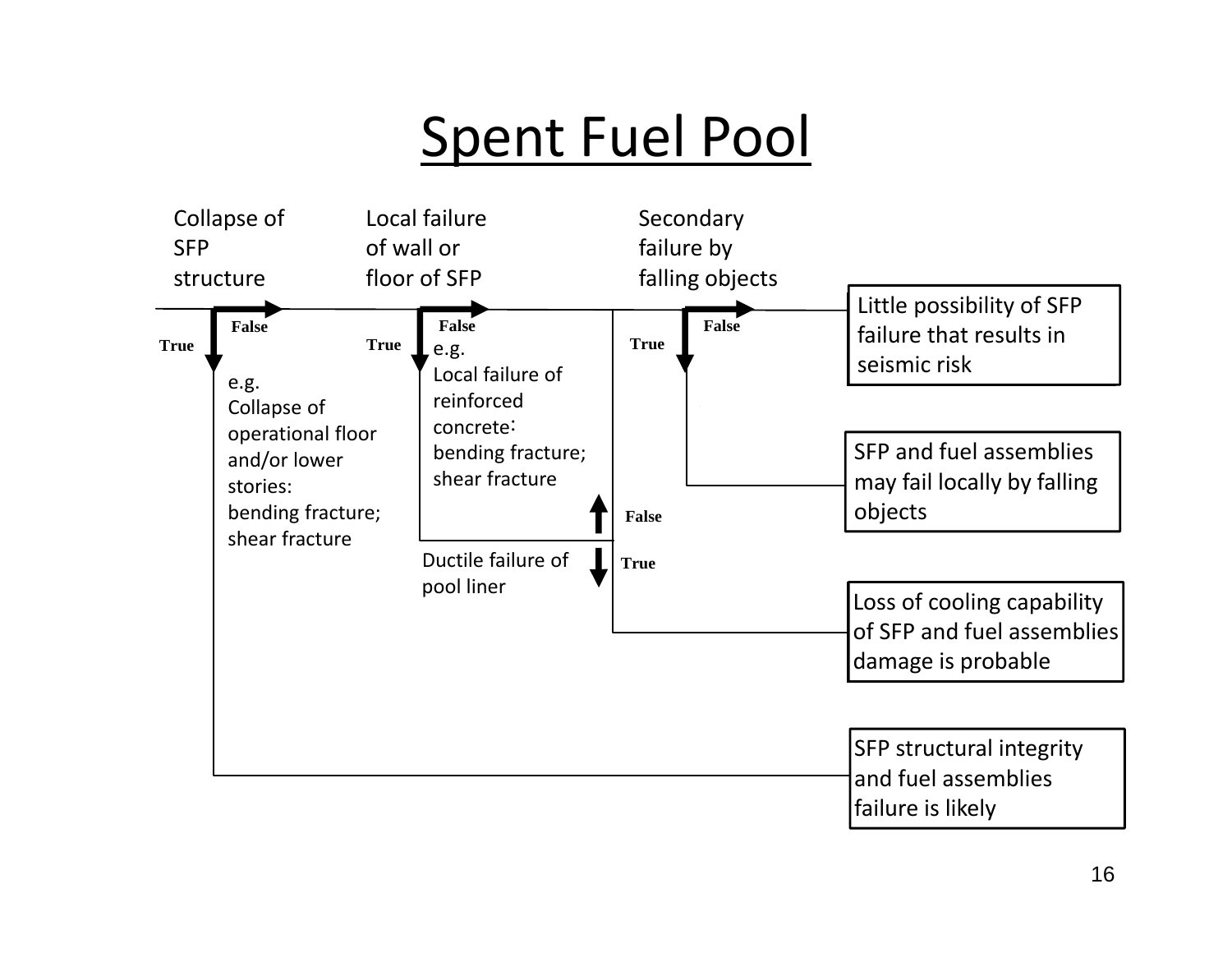#### Spent Fuel Pool

![](_page_15_Figure_1.jpeg)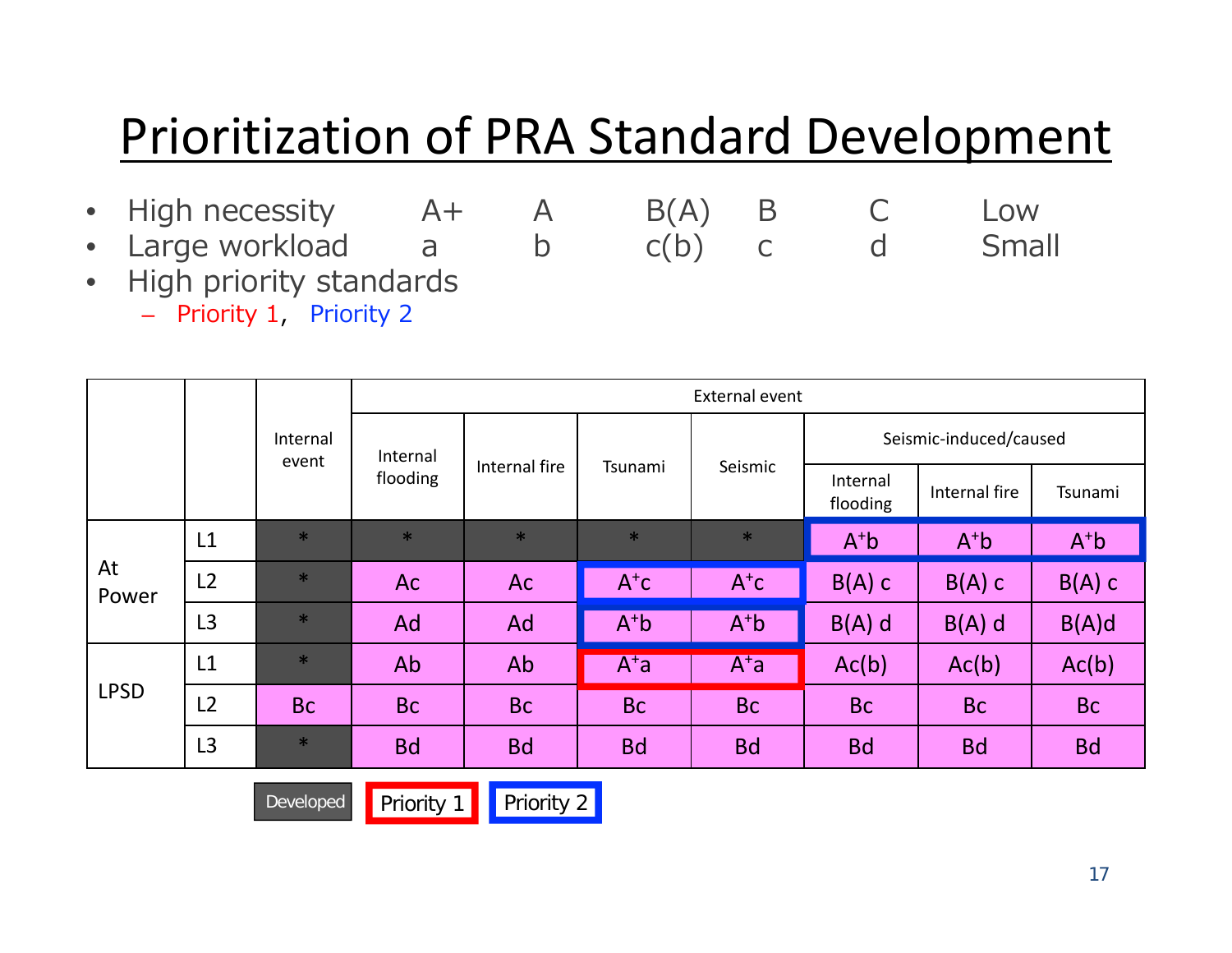#### Prioritization of PRA Standard Development

- High necessity A+ A B(A) B C Low High necessity  $A + A$   $B(A)$   $B$   $C$  Low<br>Large workload  $a$  b  $c(b)$  c d Small
- $\bullet$
- $\bullet$ High priority standards

– Priority 1, Priority 2

|             |                |                   | External event |           |                |                      |                        |                |                |
|-------------|----------------|-------------------|----------------|-----------|----------------|----------------------|------------------------|----------------|----------------|
|             |                | Internal<br>event | Internal       |           |                |                      | Seismic-induced/caused |                |                |
|             |                | flooding          | Internal fire  | Tsunami   | Seismic        | Internal<br>flooding | Internal fire          | Tsunami        |                |
|             | L1             | $\ast$            | $\ast$         | $\ast$    | $\ast$         | $\ast$               | $A^{\dagger}b$         | $A^{\dagger}b$ | $A^{\dagger}b$ |
| At<br>Power | L2             | $\ast$            | <b>Ac</b>      | Ac        | $A^{\dagger}C$ | $A^{\dagger}C$       | $B(A)$ C               | $B(A)$ C       | $B(A)$ C       |
|             | L <sub>3</sub> | $\ast$            | Ad             | Ad        | $A+b$          | $A^+b$               | $B(A)$ d               | $B(A)$ d       | B(A)d          |
| <b>LPSD</b> | L1             | $\ast$            | Ab             | Ab        | $A^{\dagger}a$ | $A^{\dagger}a$       | Ac(b)                  | Ac(b)          | Ac(b)          |
|             | L <sub>2</sub> | <b>Bc</b>         | <b>Bc</b>      | <b>Bc</b> | <b>Bc</b>      | <b>Bc</b>            | <b>Bc</b>              | <b>Bc</b>      | <b>Bc</b>      |
|             | L <sub>3</sub> | $\ast$            | <b>Bd</b>      | <b>Bd</b> | <b>Bd</b>      | <b>Bd</b>            | <b>Bd</b>              | <b>Bd</b>      | <b>Bd</b>      |

Developed Priority 1 Priority 2

17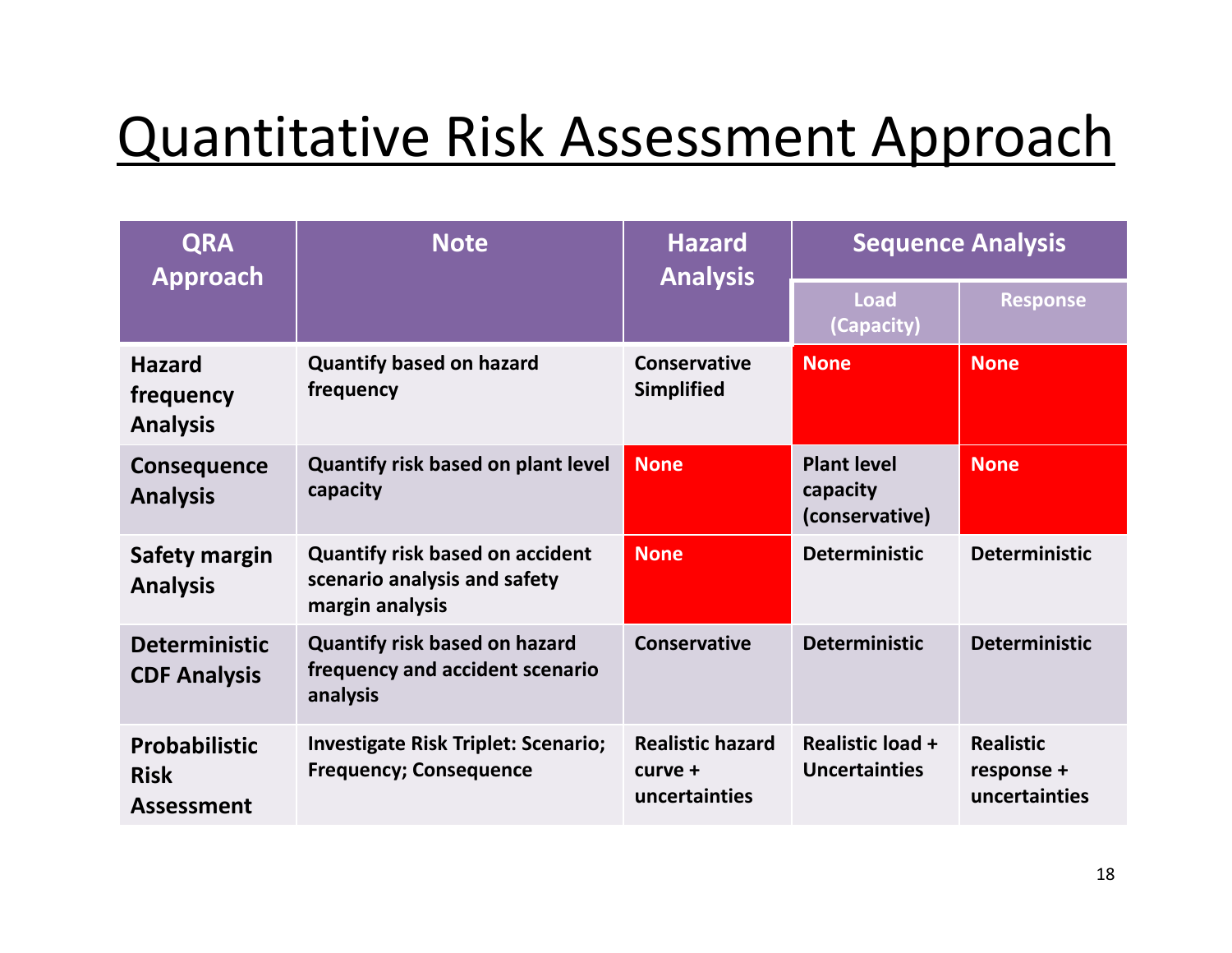#### Quantitative Risk Assessment Approach

| <b>QRA</b><br>Approach                                   | <b>Note</b>                                                                               | <b>Hazard</b><br><b>Analysis</b>                    | <b>Sequence Analysis</b>                         |                                                 |  |
|----------------------------------------------------------|-------------------------------------------------------------------------------------------|-----------------------------------------------------|--------------------------------------------------|-------------------------------------------------|--|
|                                                          |                                                                                           |                                                     | <b>Load</b><br>(Capacity)                        | <b>Response</b>                                 |  |
| <b>Hazard</b><br>frequency<br><b>Analysis</b>            | <b>Quantify based on hazard</b><br>frequency                                              | <b>Conservative</b><br><b>Simplified</b>            | <b>None</b>                                      | <b>None</b>                                     |  |
| <b>Consequence</b><br><b>Analysis</b>                    | <b>Quantify risk based on plant level</b><br>capacity                                     | <b>None</b>                                         | <b>Plant level</b><br>capacity<br>(conservative) | <b>None</b>                                     |  |
| Safety margin<br><b>Analysis</b>                         | <b>Quantify risk based on accident</b><br>scenario analysis and safety<br>margin analysis | <b>None</b>                                         | <b>Deterministic</b>                             | <b>Deterministic</b>                            |  |
| <b>Deterministic</b><br><b>CDF Analysis</b>              | <b>Quantify risk based on hazard</b><br>frequency and accident scenario<br>analysis       | <b>Conservative</b>                                 | <b>Deterministic</b>                             | <b>Deterministic</b>                            |  |
| <b>Probabilistic</b><br><b>Risk</b><br><b>Assessment</b> | <b>Investigate Risk Triplet: Scenario;</b><br><b>Frequency; Consequence</b>               | <b>Realistic hazard</b><br>curve +<br>uncertainties | <b>Realistic load +</b><br>Uncertainties         | <b>Realistic</b><br>response +<br>uncertainties |  |